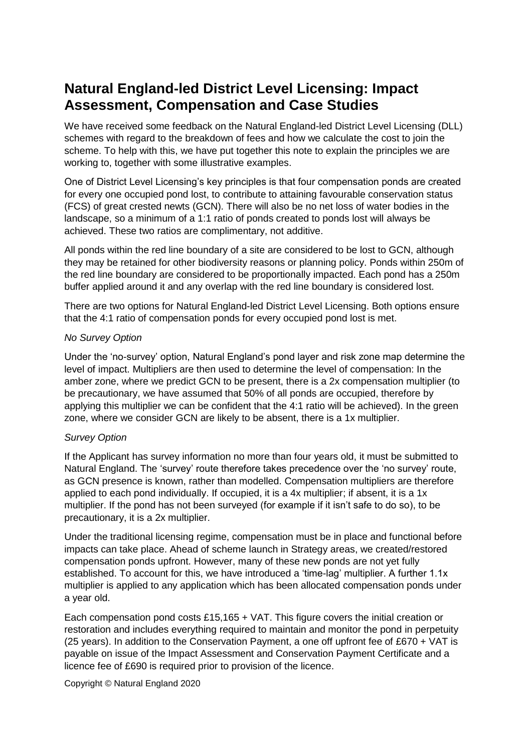# **Natural England-led District Level Licensing: Impact Assessment, Compensation and Case Studies**

We have received some feedback on the Natural England-led District Level Licensing (DLL) schemes with regard to the breakdown of fees and how we calculate the cost to join the scheme. To help with this, we have put together this note to explain the principles we are working to, together with some illustrative examples.

One of District Level Licensing's key principles is that four compensation ponds are created for every one occupied pond lost, to contribute to attaining favourable conservation status (FCS) of great crested newts (GCN). There will also be no net loss of water bodies in the landscape, so a minimum of a 1:1 ratio of ponds created to ponds lost will always be achieved. These two ratios are complimentary, not additive.

All ponds within the red line boundary of a site are considered to be lost to GCN, although they may be retained for other biodiversity reasons or planning policy. Ponds within 250m of the red line boundary are considered to be proportionally impacted. Each pond has a 250m buffer applied around it and any overlap with the red line boundary is considered lost.

There are two options for Natural England-led District Level Licensing. Both options ensure that the 4:1 ratio of compensation ponds for every occupied pond lost is met.

#### *No Survey Option*

Under the 'no-survey' option, Natural England's pond layer and risk zone map determine the level of impact. Multipliers are then used to determine the level of compensation: In the amber zone, where we predict GCN to be present, there is a 2x compensation multiplier (to be precautionary, we have assumed that 50% of all ponds are occupied, therefore by applying this multiplier we can be confident that the 4:1 ratio will be achieved). In the green zone, where we consider GCN are likely to be absent, there is a 1x multiplier.

#### *Survey Option*

If the Applicant has survey information no more than four years old, it must be submitted to Natural England. The 'survey' route therefore takes precedence over the 'no survey' route, as GCN presence is known, rather than modelled. Compensation multipliers are therefore applied to each pond individually. If occupied, it is a 4x multiplier; if absent, it is a 1x multiplier. If the pond has not been surveyed (for example if it isn't safe to do so), to be precautionary, it is a 2x multiplier.

Under the traditional licensing regime, compensation must be in place and functional before impacts can take place. Ahead of scheme launch in Strategy areas, we created/restored compensation ponds upfront. However, many of these new ponds are not yet fully established. To account for this, we have introduced a 'time-lag' multiplier. A further 1.1x multiplier is applied to any application which has been allocated compensation ponds under a year old.

Each compensation pond costs £15,165 + VAT. This figure covers the initial creation or restoration and includes everything required to maintain and monitor the pond in perpetuity (25 years). In addition to the Conservation Payment, a one off upfront fee of £670 + VAT is payable on issue of the Impact Assessment and Conservation Payment Certificate and a licence fee of £690 is required prior to provision of the licence.

Copyright © Natural England 2020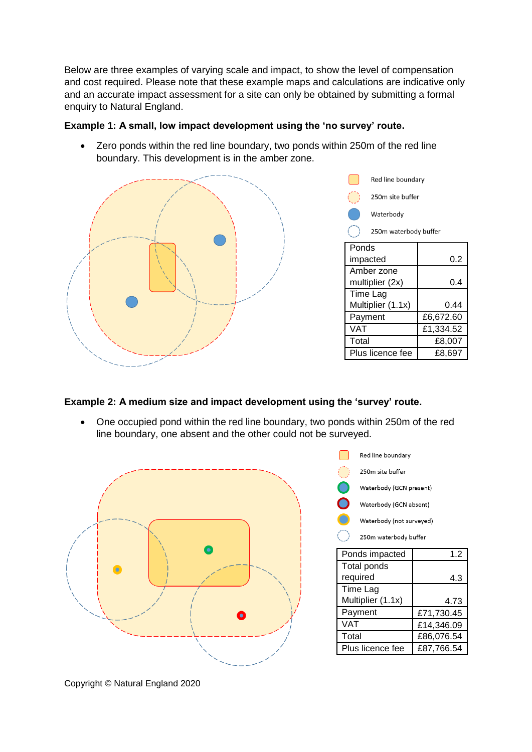Below are three examples of varying scale and impact, to show the level of compensation and cost required. Please note that these example maps and calculations are indicative only and an accurate impact assessment for a site can only be obtained by submitting a formal enquiry to Natural England.

#### **Example 1: A small, low impact development using the 'no survey' route.**

 Zero ponds within the red line boundary, two ponds within 250m of the red line boundary. This development is in the amber zone.





### **Example 2: A medium size and impact development using the 'survey' route.**

 One occupied pond within the red line boundary, two ponds within 250m of the red line boundary, one absent and the other could not be surveyed.



| Red line boundary        |            |
|--------------------------|------------|
| 250m site buffer         |            |
| Waterbody (GCN present)  |            |
| Waterbody (GCN absent)   |            |
| Waterbody (not surveyed) |            |
| 250m waterbody buffer    |            |
| Ponds impacted           | 1.2        |
| <b>Total ponds</b>       |            |
| required                 | 4.3        |
| Time Lag                 |            |
| Multiplier (1.1x)        | 4.73       |
| Payment                  | £71,730.45 |
| VAT                      | £14,346.09 |
| Total                    | £86,076.54 |
| Plus licence fee         | £87,766.54 |

Copyright © Natural England 2020